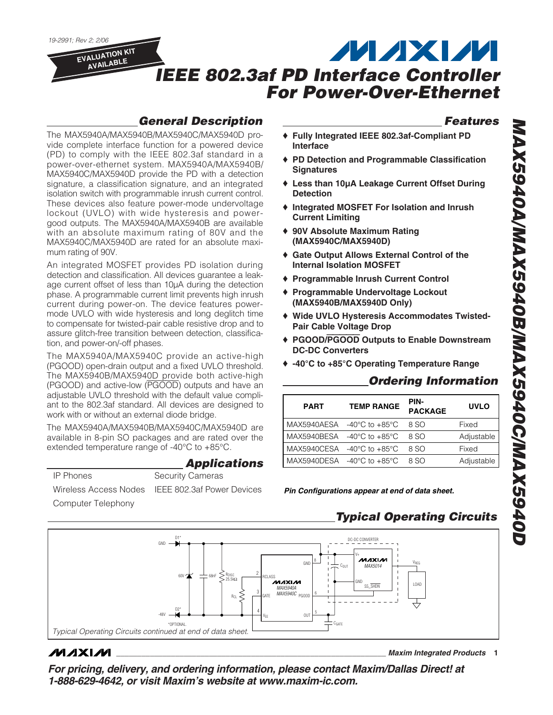## *General Description*

The MAX5940A/MAX5940B/MAX5940C/MAX5940D provide complete interface function for a powered device (PD) to comply with the IEEE 802.3af standard in a power-over-ethernet system. MAX5940A/MAX5940B/ MAX5940C/MAX5940D provide the PD with a detection signature, a classification signature, and an integrated isolation switch with programmable inrush current control. These devices also feature power-mode undervoltage lockout (UVLO) with wide hysteresis and powergood outputs. The MAX5940A/MAX5940B are available with an absolute maximum rating of 80V and the MAX5940C/MAX5940D are rated for an absolute maximum rating of 90V.

An integrated MOSFET provides PD isolation during detection and classification. All devices guarantee a leakage current offset of less than 10µA during the detection phase. A programmable current limit prevents high inrush current during power-on. The device features powermode UVLO with wide hysteresis and long deglitch time to compensate for twisted-pair cable resistive drop and to assure glitch-free transition between detection, classification, and power-on/-off phases.

The MAX5940A/MAX5940C provide an active-high (PGOOD) open-drain output and a fixed UVLO threshold. The MAX5940B/MAX5940D provide both active-high (PGOOD) and active-low (PGOOD) outputs and have an adjustable UVLO threshold with the default value compliant to the 802.3af standard. All devices are designed to work with or without an external diode bridge.

The MAX5940A/MAX5940B/MAX5940C/MAX5940D are available in 8-pin SO packages and are rated over the extended temperature range of -40°C to +85°C.

### *Applications*

Wireless Access Nodes IEEE 802.3af Power Devices

*19-2991; Rev 2; 2/06*

**EVALUATION KIT AVAILABLE**

Computer Telephony

IP Phones Security Cameras

*Features*

- ♦ **Fully Integrated IEEE 802.3af-Compliant PD Interface**
- ♦ **PD Detection and Programmable Classification Signatures**
- ♦ **Less than 10µA Leakage Current Offset During Detection**
- ♦ **Integrated MOSFET For Isolation and Inrush Current Limiting**
- ♦ **90V Absolute Maximum Rating (MAX5940C/MAX5940D)**
- ♦ **Gate Output Allows External Control of the Internal Isolation MOSFET**
- ♦ **Programmable Inrush Current Control**
- ♦ **Programmable Undervoltage Lockout (MAX5940B/MAX5940D Only)**
- ♦ **Wide UVLO Hysteresis Accommodates Twisted-Pair Cable Voltage Drop**
- ♦ **PGOOD/**PGOOD **Outputs to Enable Downstream DC-DC Converters**
- ♦ **-40°C to +85°C Operating Temperature Range**

## *Ordering Information*

| <b>PART</b> | <b>TEMP RANGE</b>                              | PIN-<br><b>PACKAGE</b> | <b>UVLO</b> |
|-------------|------------------------------------------------|------------------------|-------------|
|             | MAX5940AESA $-40^{\circ}$ C to $+85^{\circ}$ C | 8 SO                   | Fixed       |
| MAX5940BESA | -40°C to +85°C                                 | 8 SO                   | Adjustable  |
| MAX5940CESA | -40°C to +85°C                                 | 8 SO                   | Fixed       |
|             | MAX5940DESA $-40^{\circ}$ C to $+85^{\circ}$ C | 8.SO                   | Adjustable  |

*Pin Configurations appear at end of data sheet.*

## *Typical Operating Circuits*

D1\*  $DC-DC$  CONVERTER V+ MAXM GNI 8 VREG *MAX5014* COUT ξ 2  $60V \star 100V$ RDISC 25.5kΩ  $\tilde{\mathcal{M}}$ axi $\mathcal{M}$ GND ee cunv LOAD *MAX5940A MAX5940C* 3 ξ 6 Rei GATE PGOOD D2\* 4 5 OUT -48V VEE \*OPTIONAL. CGATE *Typical Operating Circuits continued at end of data sheet.*

## **MAXM**

**\_\_\_\_\_\_\_\_\_\_\_\_\_\_\_\_\_\_\_\_\_\_\_\_\_\_\_\_\_\_\_\_\_\_\_\_\_\_\_\_\_\_\_\_\_\_\_\_\_\_\_\_\_\_\_\_\_\_\_\_\_\_\_\_** *Maxim Integrated Products* **1**

*For pricing, delivery, and ordering information, please contact Maxim/Dallas Direct! at 1-888-629-4642, or visit Maxim's website at www.maxim-ic.com.*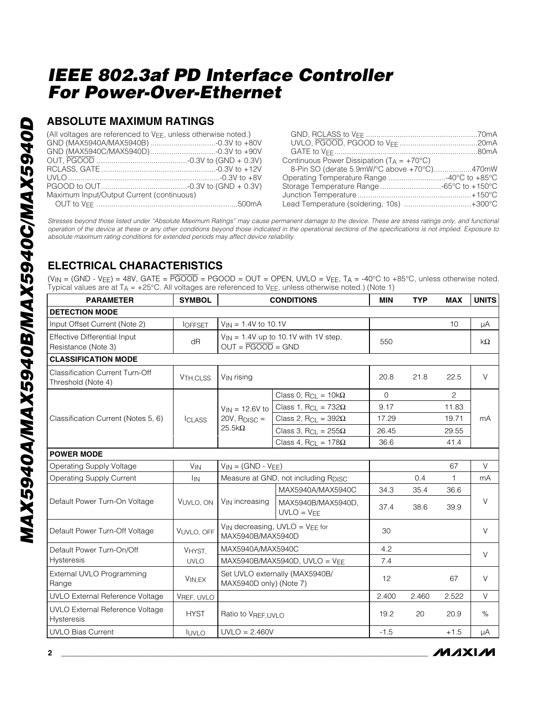## **ABSOLUTE MAXIMUM RATINGS**

| (All voltages are referenced to VFF, unless otherwise noted.) |                                                     |
|---------------------------------------------------------------|-----------------------------------------------------|
|                                                               |                                                     |
|                                                               |                                                     |
|                                                               | Continuous Power Dissipation $(T_A = +70^{\circ}C)$ |
|                                                               | 8-Pin SO (derate 5.9mW/°C above +70°C)470mW         |
|                                                               |                                                     |
|                                                               |                                                     |
| Maximum Input/Output Current (continuous)                     |                                                     |
|                                                               | Lead Temperature (soldering, 10s) +300°C            |

*Stresses beyond those listed under "Absolute Maximum Ratings" may cause permanent damage to the device. These are stress ratings only, and functional operation of the device at these or any other conditions beyond those indicated in the operational sections of the specifications is not implied. Exposure to absolute maximum rating conditions for extended periods may affect device reliability.*

## **ELECTRICAL CHARACTERISTICS**

 $(V_{IN} = (GND - V_{EE}) = 48V$ , GATE =  $\overline{PGOOD} = PGOOD = OUT = OPER$ , UVLO = V $_{EE}$ , T<sub>A</sub> = -40°C to +85°C, unless otherwise noted. Typical values are at  $T_A = +25^{\circ}$ C. All voltages are referenced to V<sub>EE</sub>, unless otherwise noted.) (Note 1)

| <b>PARAMETER</b>                                             | <b>SYMBOL</b>         | <b>CONDITIONS</b>                                                           |                                        | <b>MIN</b> | <b>TYP</b> | <b>MAX</b>     | <b>UNITS</b> |
|--------------------------------------------------------------|-----------------------|-----------------------------------------------------------------------------|----------------------------------------|------------|------------|----------------|--------------|
| <b>DETECTION MODE</b>                                        |                       |                                                                             |                                        |            |            |                |              |
| Input Offset Current (Note 2)                                | <b>IOFFSET</b>        | $V_{IN} = 1.4V$ to 10.1V                                                    |                                        |            |            | 10             | μA           |
| <b>Effective Differential Input</b><br>Resistance (Note 3)   | dR                    | $V_{IN}$ = 1.4V up to 10.1V with 1V step,<br>$OUT = \overline{PGOOD} = GND$ |                                        | 550        |            |                | $k\Omega$    |
| <b>CLASSIFICATION MODE</b>                                   |                       |                                                                             |                                        |            |            |                |              |
| <b>Classification Current Turn-Off</b><br>Threshold (Note 4) | V <sub>TH.CLSS</sub>  | V <sub>IN</sub> rising                                                      |                                        | 20.8       | 21.8       | 22.5           | $\vee$       |
|                                                              |                       |                                                                             | Class 0, $R_{Cl} = 10k\Omega$          | $\circ$    |            | $\overline{c}$ | mA           |
|                                                              |                       | $V_{IN} = 12.6V$ to                                                         | Class 1, $R_{CL} = 732\Omega$          | 9.17       |            | 11.83          |              |
| Classification Current (Notes 5, 6)                          | <b>ICLASS</b>         | $20V$ , $R_{DISC} =$                                                        | Class 2, R <sub>CL</sub> = $392\Omega$ | 17.29      |            | 19.71          |              |
|                                                              |                       | $25.5k\Omega$                                                               | Class 3, R <sub>CL</sub> = $255\Omega$ | 26.45      |            | 29.55          |              |
|                                                              |                       |                                                                             | Class 4, $R_{CL} = 178\Omega$          | 36.6       |            | 41.4           |              |
| <b>POWER MODE</b>                                            |                       |                                                                             |                                        |            |            |                |              |
| Operating Supply Voltage                                     | <b>V<sub>IN</sub></b> | $V_{IN} = (GND - V_{EE})$                                                   |                                        |            |            | 67             | $\vee$       |
| <b>Operating Supply Current</b>                              | <sup>I</sup> IN       | Measure at GND, not including RDISC                                         |                                        |            | 0.4        | 1              | mA           |
|                                                              | VUVLO, ON             |                                                                             | MAX5940A/MAX5940C                      | 34.3       | 35.4       | 36.6           | V            |
| Default Power Turn-On Voltage                                |                       | V <sub>IN</sub> increasing                                                  | MAX5940B/MAX5940D,<br>$UVLO = VFE$     | 37.4       | 38.6       | 39.9           |              |
| Default Power Turn-Off Voltage                               | VUVLO, OFF            | $V_{IN}$ decreasing, UVLO = $V_{EE}$ for<br>MAX5940B/MAX5940D               |                                        | 30         |            |                | $\vee$       |
| Default Power Turn-On/Off                                    | VHYST,                | MAX5940A/MAX5940C                                                           |                                        | 4.2        |            |                | $\vee$       |
| Hysteresis                                                   | <b>UVLO</b>           | MAX5940B/MAX5940D, UVLO = $VFF$                                             |                                        | 7.4        |            |                |              |
| External UVLO Programming<br>Range                           | $V_{IN,EX}$           | Set UVLO externally (MAX5940B/<br>MAX5940D only) (Note 7)                   |                                        | 12         |            | 67             | $\vee$       |
| UVLO External Reference Voltage                              | VREF, UVLO            |                                                                             |                                        | 2.400      | 2.460      | 2.522          | $\vee$       |
| UVLO External Reference Voltage<br><b>Hysteresis</b>         | <b>HYST</b>           | Ratio to VREF, UVLO                                                         |                                        | 19.2       | 20         | 20.9           | $\%$         |
| <b>UVLO Bias Current</b>                                     | <b>LUVLO</b>          | $UVLO = 2.460V$                                                             |                                        | $-1.5$     |            | $+1.5$         | μA           |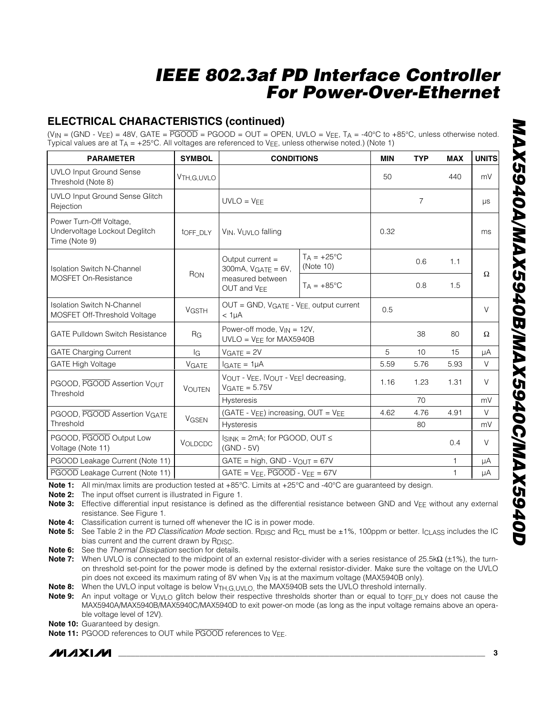## **ELECTRICAL CHARACTERISTICS (continued)**

 $(V_{IN} = (GND - V_{EE}) = 48V$ , GATE =  $\overline{PGOOD} = PGOOD = OUT = OPER$ , UVLO = V $EE$ , TA = -40°C to +85°C, unless otherwise noted Typical values are at  $T_A = +25^{\circ}$ C. All voltages are referenced to  $V_{FE}$ , unless otherwise noted.) (Note 1)

| <b>PARAMETER</b>                                                          | <b>SYMBOL</b>             | <b>CONDITIONS</b>                                                                           |                                  | <b>MIN</b> | <b>TYP</b> | <b>MAX</b>   | <b>UNITS</b> |
|---------------------------------------------------------------------------|---------------------------|---------------------------------------------------------------------------------------------|----------------------------------|------------|------------|--------------|--------------|
| <b>UVLO Input Ground Sense</b><br>Threshold (Note 8)                      | V <sub>TH</sub> , G, UVLO |                                                                                             |                                  | 50         |            | 440          | mV           |
| <b>UVLO Input Ground Sense Glitch</b><br>Rejection                        |                           | $UVLO = VFF$                                                                                |                                  |            | 7          |              | μs           |
| Power Turn-Off Voltage,<br>Undervoltage Lockout Deglitch<br>Time (Note 9) | toff DLY                  | VIN, VUVLO falling                                                                          |                                  | 0.32       |            |              | ms           |
| <b>Isolation Switch N-Channel</b>                                         |                           | Output current =<br>$300mA$ , $VGATE = 6V$ ,<br>measured between<br>OUT and V <sub>EE</sub> | $TA = +25^{\circ}C$<br>(Note 10) |            | 0.6        | 1.1          | $\Omega$     |
| <b>MOSFET On-Resistance</b>                                               | RON                       |                                                                                             | $T_A = +85$ °C                   |            | 0.8        | 1.5          |              |
| <b>Isolation Switch N-Channel</b><br>MOSFET Off-Threshold Voltage         | <b>VGSTH</b>              | OUT = GND, VGATE - VEE, output current<br>$<1\mu A$                                         |                                  | 0.5        |            |              | $\vee$       |
| <b>GATE Pulldown Switch Resistance</b>                                    | R <sub>G</sub>            | Power-off mode, $V_{IN} = 12V$ ,<br>$UVLO = VEE$ for MAX5940B                               |                                  |            | 38         | 80           | $\Omega$     |
| <b>GATE Charging Current</b>                                              | lG                        | $VGATE = 2V$                                                                                |                                  | 5          | 10         | 15           | μA           |
| <b>GATE High Voltage</b>                                                  | <b>VGATE</b>              | $I_{GATE} = 1 \mu A$                                                                        |                                  | 5.59       | 5.76       | 5.93         | $\vee$       |
| PGOOD, PGOOD Assertion VOUT<br>Threshold                                  | <b>VOUTEN</b>             | VOUT - VEE, IVOUT - VEEL decreasing,<br>$VGATE = 5.75V$                                     |                                  | 1.16       | 1.23       | 1.31         | $\vee$       |
|                                                                           |                           | <b>Hysteresis</b>                                                                           |                                  |            | 70         |              | mV           |
| PGOOD, PGOOD Assertion VGATE                                              | <b>VGSEN</b>              | (GATE - $V_{EE}$ ) increasing, OUT = $V_{EE}$                                               |                                  | 4.62       | 4.76       | 4.91         | $\vee$       |
| Threshold                                                                 |                           | <b>Hysteresis</b>                                                                           |                                  |            | 80         |              | mV           |
| PGOOD, PGOOD Output Low<br>Voltage (Note 11)                              | VOLDCDC                   | $I_{SINK} = 2mA$ ; for PGOOD, OUT $\leq$<br>$(GND - 5V)$                                    |                                  |            |            | 0.4          | $\vee$       |
| PGOOD Leakage Current (Note 11)                                           |                           | $GATE = high$ , $GND - VOUT = 67V$                                                          |                                  |            |            | $\mathbf{1}$ | μA           |
| PGOOD Leakage Current (Note 11)                                           |                           | $GATE = V_{EF}$ , $\overline{PGOOD}$ - $V_{FE} = 67V$                                       |                                  |            |            | 1            | $\mu A$      |

**Note 1:** All min/max limits are production tested at +85°C. Limits at +25°C and -40°C are guaranteed by design.

**Note 2:** The input offset current is illustrated in Figure 1.

Note 3: Effective differential input resistance is defined as the differential resistance between GND and V<sub>FF</sub> without any external resistance. See Figure 1.

**Note 4:** Classification current is turned off whenever the IC is in power mode.

**Note 5:** See Table 2 in the *PD Classification Mode* section. R<sub>DISC</sub> and R<sub>CL</sub> must be ±1%, 100ppm or better. I<sub>CLASS</sub> includes the IC bias current and the current drawn by R<sub>DISC</sub>.

**Note 6:** See the *Thermal Dissipation* section for details.

**Note 7:** When UVLO is connected to the midpoint of an external resistor-divider with a series resistance of 25.5kΩ (±1%), the turnon threshold set-point for the power mode is defined by the external resistor-divider. Make sure the voltage on the UVLO pin does not exceed its maximum rating of 8V when  $V_{\text{IN}}$  is at the maximum voltage (MAX5940B only).

Note 8: When the UVLO input voltage is below V<sub>TH,G,UVLO</sub>, the MAX5940B sets the UVLO threshold internally.

**Note 9:** An input voltage or V<sub>UVLO</sub> glitch below their respective thresholds shorter than or equal to t<sub>OFF\_DLY</sub> does not cause the MAX5940A/MAX5940B/MAX5940C/MAX5940D to exit power-on mode (as long as the input voltage remains above an operable voltage level of 12V).

**Note 10:** Guaranteed by design.

**Note 11:** PGOOD references to OUT while PGOOD references to VFF.

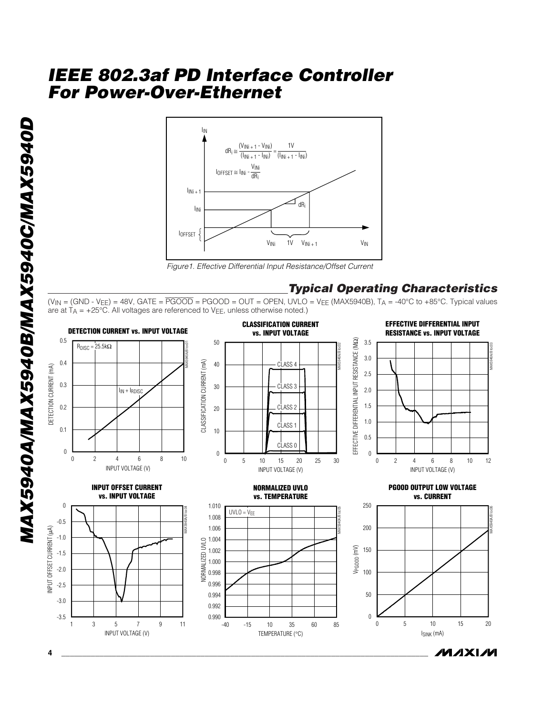

*Figure1. Effective Differential Input Resistance/Offset Current*

### *Typical Operating Characteristics*

 $(V_{\rm IN} = (GND - V_{\rm EE}) = 48V$ , GATE =  $\overline{\text{PGOOD}} = \text{PGOOD} = \text{OUT} = \text{OPEN}$ , UVLO =  $V_{\rm EE}$  (MAX5940B), T<sub>A</sub> = -40°C to +85°C. Typical values are at  $T_A$  = +25°C. All voltages are referenced to V<sub>EE</sub>, unless otherwise noted.)

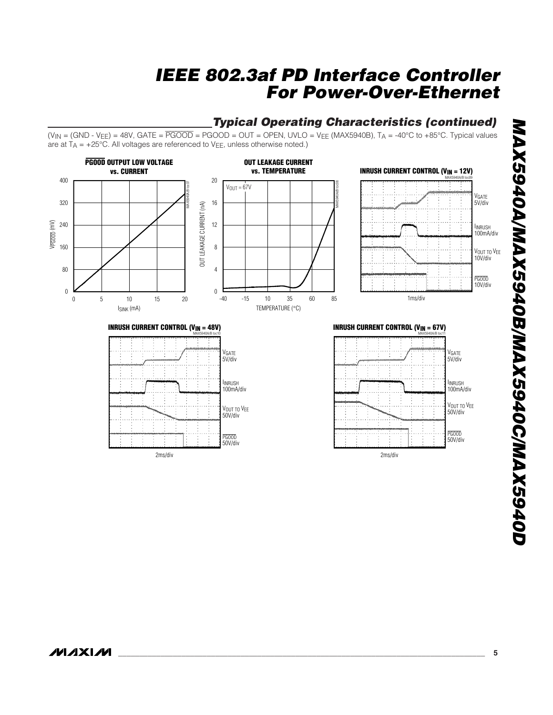## *Typical Operating Characteristics (continued)*

 $(V_{IN} = (GND - V_{FE}) = 48V$ , GATE =  $\overline{PGOOD} = PGOOD = OUT = OPER$ , UVLO = V $_{FE}$  (MAX5940B), T<sub>A</sub> = -40°C to +85°C. Typical values are at  $T_A$  = +25°C. All voltages are referenced to V<sub>EE</sub>, unless otherwise noted.)

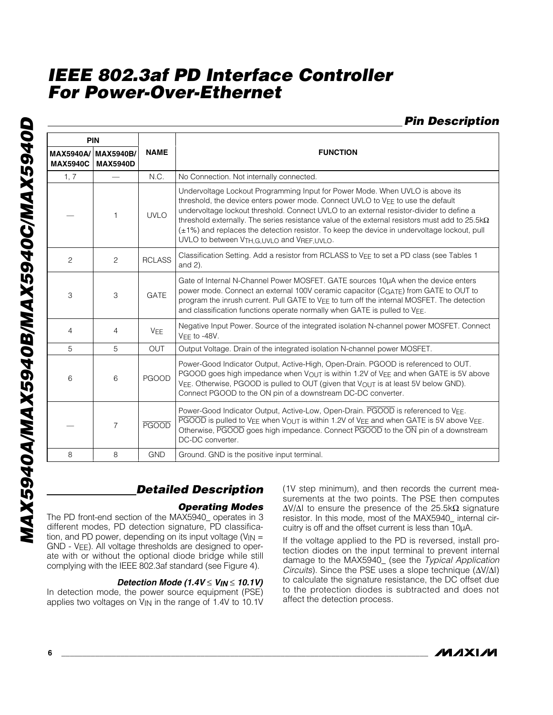*Pin Description*

| PIN                                 |                                     |               |                                                                                                                                                                                                                                                                                                                                                                                                                                                                                                                       |  |
|-------------------------------------|-------------------------------------|---------------|-----------------------------------------------------------------------------------------------------------------------------------------------------------------------------------------------------------------------------------------------------------------------------------------------------------------------------------------------------------------------------------------------------------------------------------------------------------------------------------------------------------------------|--|
| <b>MAX5940A/</b><br><b>MAX5940C</b> | <b>MAX5940B/</b><br><b>MAX5940D</b> | <b>NAME</b>   | <b>FUNCTION</b>                                                                                                                                                                                                                                                                                                                                                                                                                                                                                                       |  |
| 1, 7                                |                                     | N.C.          | No Connection. Not internally connected.                                                                                                                                                                                                                                                                                                                                                                                                                                                                              |  |
|                                     | 1                                   | <b>UVLO</b>   | Undervoltage Lockout Programming Input for Power Mode. When UVLO is above its<br>threshold, the device enters power mode. Connect UVLO to VEE to use the default<br>undervoltage lockout threshold. Connect UVLO to an external resistor-divider to define a<br>threshold externally. The series resistance value of the external resistors must add to 25.5k $\Omega$<br>(±1%) and replaces the detection resistor. To keep the device in undervoltage lockout, pull<br>UVLO to between VTH, G, UVLO and VREF, UVLO. |  |
| 2                                   | $\overline{c}$                      | <b>RCLASS</b> | Classification Setting. Add a resistor from RCLASS to VEE to set a PD class (see Tables 1<br>and $2$ ).                                                                                                                                                                                                                                                                                                                                                                                                               |  |
| 3                                   | 3                                   | <b>GATE</b>   | Gate of Internal N-Channel Power MOSFET. GATE sources 10uA when the device enters<br>power mode. Connect an external 100V ceramic capacitor (CGATE) from GATE to OUT to<br>program the inrush current. Pull GATE to VEE to turn off the internal MOSFET. The detection<br>and classification functions operate normally when GATE is pulled to $V_{EE}$ .                                                                                                                                                             |  |
| $\overline{4}$                      | $\overline{4}$                      | <b>VEE</b>    | Negative Input Power. Source of the integrated isolation N-channel power MOSFET. Connect<br>$VFF$ to -48V.                                                                                                                                                                                                                                                                                                                                                                                                            |  |
| 5                                   | 5                                   | <b>OUT</b>    | Output Voltage. Drain of the integrated isolation N-channel power MOSFET.                                                                                                                                                                                                                                                                                                                                                                                                                                             |  |
| 6                                   | 6                                   | <b>PGOOD</b>  | Power-Good Indicator Output, Active-High, Open-Drain. PGOOD is referenced to OUT.<br>PGOOD goes high impedance when $V_{\text{OUT}}$ is within 1.2V of V <sub>EE</sub> and when GATE is 5V above<br>VEE. Otherwise, PGOOD is pulled to OUT (given that VOUT is at least 5V below GND).<br>Connect PGOOD to the ON pin of a downstream DC-DC converter.                                                                                                                                                                |  |
|                                     | $\overline{7}$                      | <b>PGOOD</b>  | Power-Good Indicator Output, Active-Low, Open-Drain. PGOOD is referenced to VEE.<br>PGOOD is pulled to VEE when VOUT is within 1.2V of VEE and when GATE is 5V above VEE.<br>Otherwise, PGOOD goes high impedance. Connect PGOOD to the ON pin of a downstream<br>DC-DC converter.                                                                                                                                                                                                                                    |  |
| 8                                   | 8                                   | <b>GND</b>    | Ground. GND is the positive input terminal.                                                                                                                                                                                                                                                                                                                                                                                                                                                                           |  |

## *Detailed Description*

### *Operating Modes*

The PD front-end section of the MAX5940\_ operates in 3 different modes, PD detection signature, PD classification, and PD power, depending on its input voltage ( $V_{IN}$  = GND - VEE). All voltage thresholds are designed to operate with or without the optional diode bridge while still complying with the IEEE 802.3af standard (see Figure 4).

### *Detection Mode (1.4V* ≤ *VIN* ≤ *10.1V)*

In detection mode, the power source equipment (PSE) applies two voltages on  $V_{\text{IN}}$  in the range of 1.4V to 10.1V

(1V step minimum), and then records the current measurements at the two points. The PSE then computes  $ΔV/ΔI$  to ensure the presence of the 25.5k $Ω$  signature resistor. In this mode, most of the MAX5940\_ internal circuitry is off and the offset current is less than 10µA.

If the voltage applied to the PD is reversed, install protection diodes on the input terminal to prevent internal damage to the MAX5940\_ (see the *Typical Application Circuits*). Since the PSE uses a slope technique (ΔV/ΔI) to calculate the signature resistance, the DC offset due to the protection diodes is subtracted and does not affect the detection process.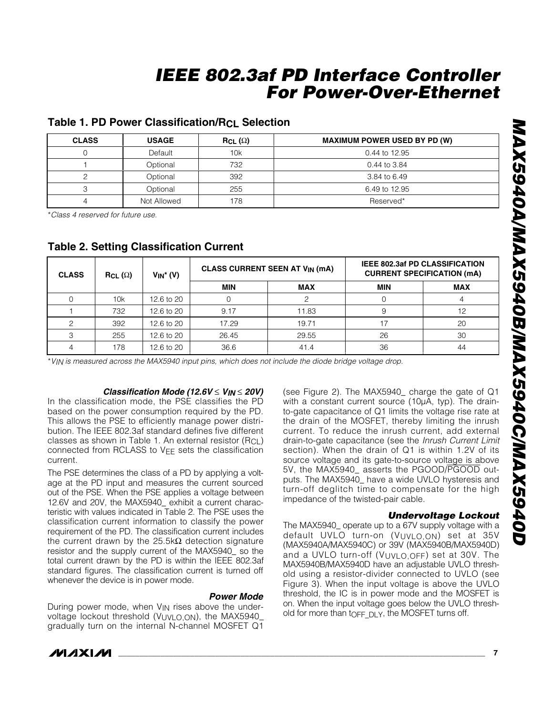### **Table 1. PD Power Classification/RCL Selection**

| <b>CLASS</b> | <b>USAGE</b> | $RCL(\Omega)$ | <b>MAXIMUM POWER USED BY PD (W)</b> |
|--------------|--------------|---------------|-------------------------------------|
|              | Default      | 10k           | 0.44 to 12.95                       |
|              | Optional     | 732           | 0.44 to 3.84                        |
|              | Optional     | 392           | 3.84 to 6.49                        |
|              | Optional     | 255           | 6.49 to 12.95                       |
|              | Not Allowed  | 178           | Reserved*                           |

\**Class 4 reserved for future use.*

| <b>CLASS</b><br>$RCL (\Omega)$ |     | $V_{IN}$ <sup>*</sup> (V) | <b>CLASS CURRENT SEEN AT VIN (MA)</b> |            | <b>IEEE 802.3af PD CLASSIFICATION</b><br><b>CURRENT SPECIFICATION (mA)</b> |    |  |
|--------------------------------|-----|---------------------------|---------------------------------------|------------|----------------------------------------------------------------------------|----|--|
|                                |     | <b>MIN</b>                | <b>MAX</b>                            | <b>MIN</b> | <b>MAX</b>                                                                 |    |  |
|                                | 10k | 12.6 to 20                |                                       |            |                                                                            |    |  |
|                                | 732 | 12.6 to 20                | 9.17                                  | 11.83      |                                                                            | 12 |  |
|                                | 392 | 12.6 to 20                | 17.29                                 | 19.71      | 17                                                                         | 20 |  |
|                                | 255 | 12.6 to 20                | 26.45                                 | 29.55      | 26                                                                         | 30 |  |
|                                | 178 | 12.6 to 20                | 36.6                                  | 41.4       | 36                                                                         | 44 |  |

### **Table 2. Setting Classification Current**

\**VIN is measured across the MAX5940 input pins, which does not include the diode bridge voltage drop.*

### *Classification Mode (12.6V* ≤ *VIN* ≤ *20V)*

In the classification mode, the PSE classifies the PD based on the power consumption required by the PD. This allows the PSE to efficiently manage power distribution. The IEEE 802.3af standard defines five different classes as shown in Table 1. An external resistor  $(R<sub>CL</sub>)$ connected from RCLASS to V<sub>EE</sub> sets the classification current.

The PSE determines the class of a PD by applying a voltage at the PD input and measures the current sourced out of the PSE. When the PSE applies a voltage between 12.6V and 20V, the MAX5940\_ exhibit a current characteristic with values indicated in Table 2. The PSE uses the classification current information to classify the power requirement of the PD. The classification current includes the current drawn by the 25.5kΩ detection signature resistor and the supply current of the MAX5940\_ so the total current drawn by the PD is within the IEEE 802.3af standard figures. The classification current is turned off whenever the device is in power mode.

### *Power Mode*

During power mode, when VIN rises above the undervoltage lockout threshold (VUVLO,ON), the MAX5940\_ gradually turn on the internal N-channel MOSFET Q1 (see Figure 2). The MAX5940\_ charge the gate of Q1 with a constant current source (10µA, typ). The drainto-gate capacitance of Q1 limits the voltage rise rate at the drain of the MOSFET, thereby limiting the inrush current. To reduce the inrush current, add external drain-to-gate capacitance (see the *Inrush Current Limit* section). When the drain of Q1 is within 1.2V of its source voltage and its gate-to-source voltage is above 5V, the MAX5940 asserts the PGOOD/PGOOD outputs. The MAX5940\_ have a wide UVLO hysteresis and turn-off deglitch time to compensate for the high impedance of the twisted-pair cable.

### *Undervoltage Lockout*

The MAX5940\_ operate up to a 67V supply voltage with a default UVLO turn-on (VUVLO,ON) set at 35V (MAX5940A/MAX5940C) or 39V (MAX5940B/MAX5940D) and a UVLO turn-off ( $V$ <sub>UVLO, OFF</sub>) set at 30V. The MAX5940B/MAX5940D have an adjustable UVLO threshold using a resistor-divider connected to UVLO (see Figure 3). When the input voltage is above the UVLO threshold, the IC is in power mode and the MOSFET is on. When the input voltage goes below the UVLO threshold for more than tOFF DLY, the MOSFET turns off.

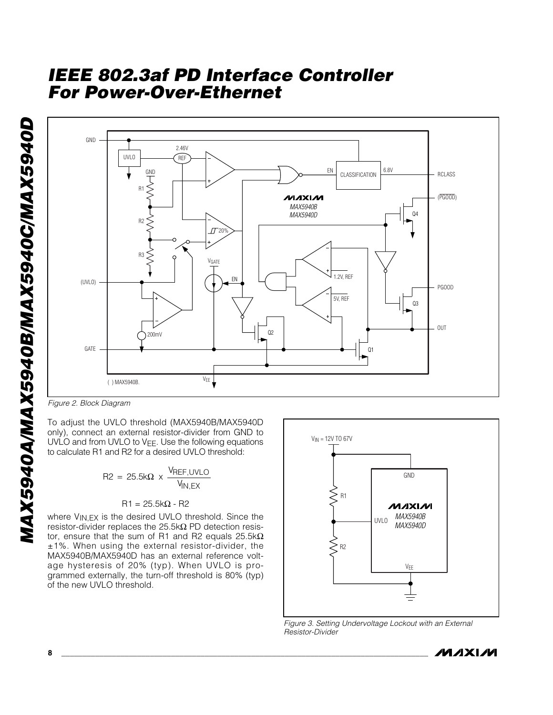

*Figure 2. Block Diagram*

only), connect an external resistor-divider from GND to UVLO and from UVLO to VEE. Use the following equations to calculate R1 and R2 for a desired UVLO threshold:

$$
R2 = 25.5k\Omega \times \frac{V_{REF,UVLO}}{V_{IN,EX}}
$$

$$
R1 = 25.5k\Omega - R2
$$

where V<sub>IN,EX</sub> is the desired UVLO threshold. Since the resistor-divider replaces the 25.5kΩ PD detection resistor, ensure that the sum of R1 and R2 equals 25.5k $\Omega$ ±1%. When using the external resistor-divider, the MAX5940B/MAX5940D has an external reference voltage hysteresis of 20% (typ). When UVLO is programmed externally, the turn-off threshold is 80% (typ) of the new UVLO threshold.



*Figure 3. Setting Undervoltage Lockout with an External Resistor-Divider*

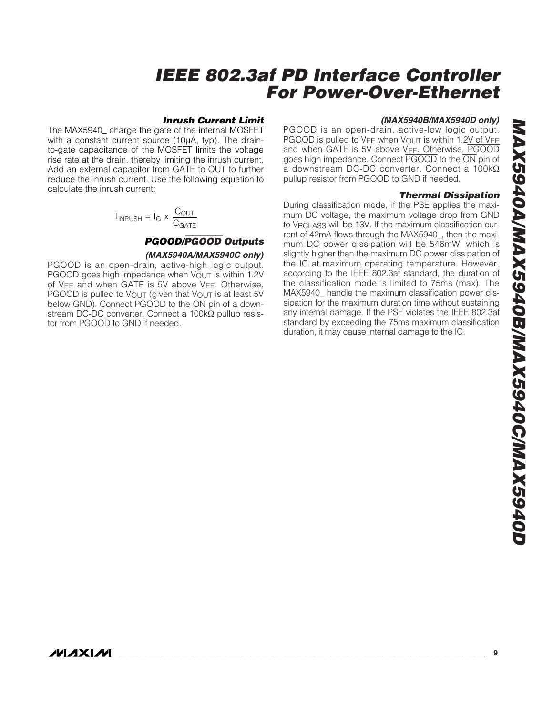#### *Inrush Current Limit*

The MAX5940\_ charge the gate of the internal MOSFET with a constant current source (10µA, typ). The drainto-gate capacitance of the MOSFET limits the voltage rise rate at the drain, thereby limiting the inrush current. Add an external capacitor from GATE to OUT to further reduce the inrush current. Use the following equation to calculate the inrush current:

$$
I_{INRUSH} = I_G \times \frac{C_{OUT}}{C_{GATE}}
$$

### *PGOOD/*PGOOD *Outputs (MAX5940A/MAX5940C only)*

PGOOD is an open-drain, active-high logic output. PGOOD goes high impedance when  $V_{\text{OUT}}$  is within 1.2V of VEE and when GATE is 5V above VEE. Otherwise, PGOOD is pulled to V<sub>OUT</sub> (given that V<sub>OUT</sub> is at least 5V below GND). Connect PGOOD to the ON pin of a downstream DC-DC converter. Connect a  $100k\Omega$  pullup resistor from PGOOD to GND if needed.

#### *(MAX5940B/MAX5940D only)*

PGOOD is an open-drain, active-low logic output.  $\overline{PGOOD}$  is pulled to  $VFE$  when  $V_{\text{OUT}}$  is within 1.2V of  $VEE$ and when GATE is 5V above V<sub>EE</sub>. Otherwise, PGOOD goes high impedance. Connect PGOOD to the ON pin of a downstream DC-DC converter. Connect a 100kΩ pullup resistor from PGOOD to GND if needed.

#### *Thermal Dissipation*

During classification mode, if the PSE applies the maximum DC voltage, the maximum voltage drop from GND to V<sub>RCLASS</sub> will be 13V. If the maximum classification current of 42mA flows through the MAX5940\_, then the maximum DC power dissipation will be 546mW, which is slightly higher than the maximum DC power dissipation of the IC at maximum operating temperature. However, according to the IEEE 802.3af standard, the duration of the classification mode is limited to 75ms (max). The MAX5940\_ handle the maximum classification power dissipation for the maximum duration time without sustaining any internal damage. If the PSE violates the IEEE 802.3af standard by exceeding the 75ms maximum classification duration, it may cause internal damage to the IC.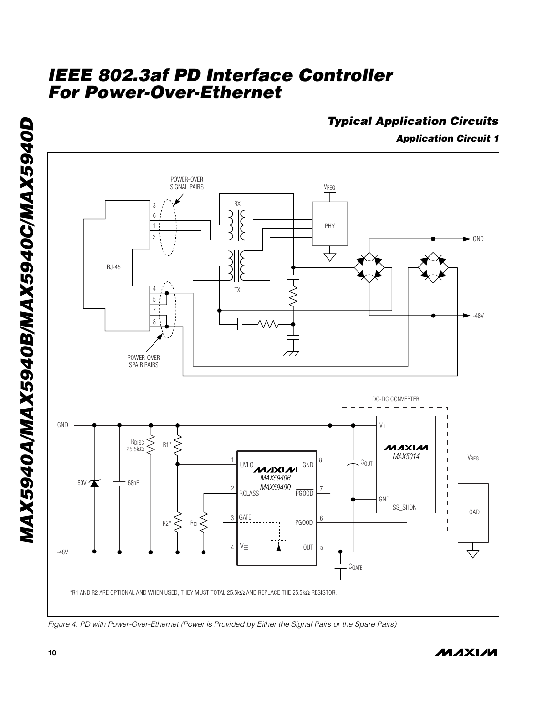

*Figure 4. PD with Power-Over-Ethernet (Power is Provided by Either the Signal Pairs or the Spare Pairs)*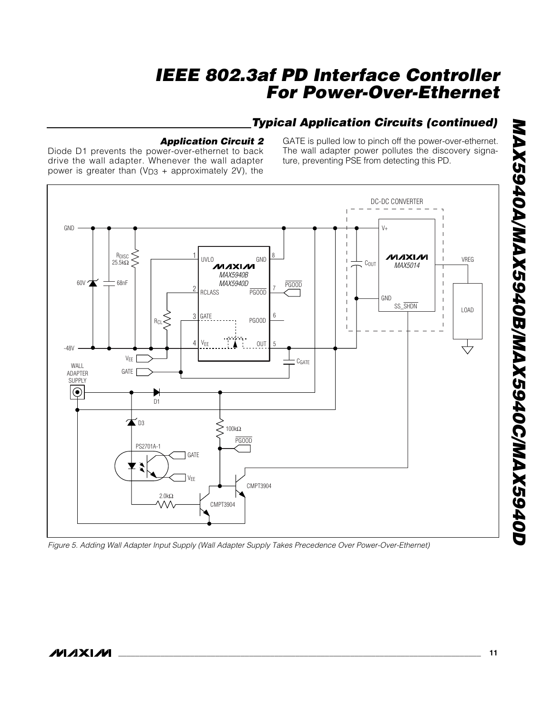## *Typical Application Circuits (continued)*

### *Application Circuit 2*

Diode D1 prevents the power-over-ethernet to back drive the wall adapter. Whenever the wall adapter power is greater than  $(V_{D3} +$  approximately 2V), the

GATE is pulled low to pinch off the power-over-ethernet. The wall adapter power pollutes the discovery signature, preventing PSE from detecting this PD.



*Figure 5. Adding Wall Adapter Input Supply (Wall Adapter Supply Takes Precedence Over Power-Over-Ethernet)*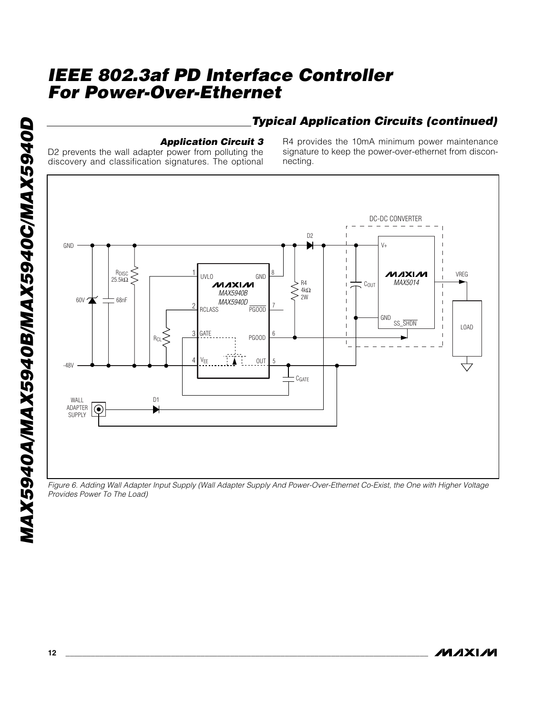## *Typical Application Circuits (continued)*

### *Application Circuit 3*

D2 prevents the wall adapter power from polluting the discovery and classification signatures. The optional R4 provides the 10mA minimum power maintenance signature to keep the power-over-ethernet from disconnecting.



*Figure 6. Adding Wall Adapter Input Supply (Wall Adapter Supply And Power-Over-Ethernet Co-Exist, the One with Higher Voltage Provides Power To The Load)*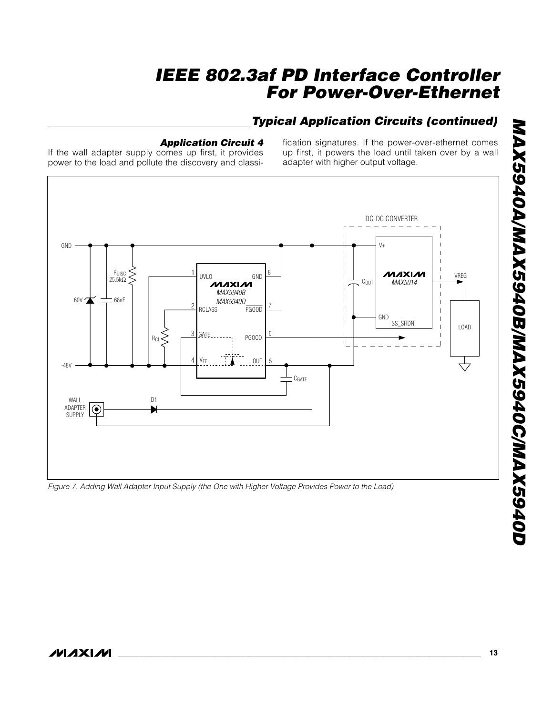## *Typical Application Circuits (continued)*

### *Application Circuit 4*

If the wall adapter supply comes up first, it provides power to the load and pollute the discovery and classification signatures. If the power-over-ethernet comes up first, it powers the load until taken over by a wall adapter with higher output voltage.



*Figure 7. Adding Wall Adapter Input Supply (the One with Higher Voltage Provides Power to the Load)*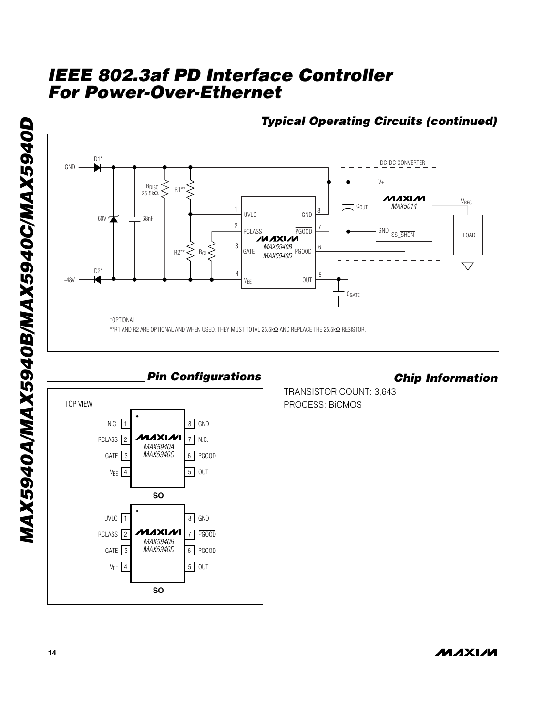



*Pin Configurations*

## *Chip Information*

TRANSISTOR COUNT: 3,643 PROCESS: BiCMOS

**MAXM**